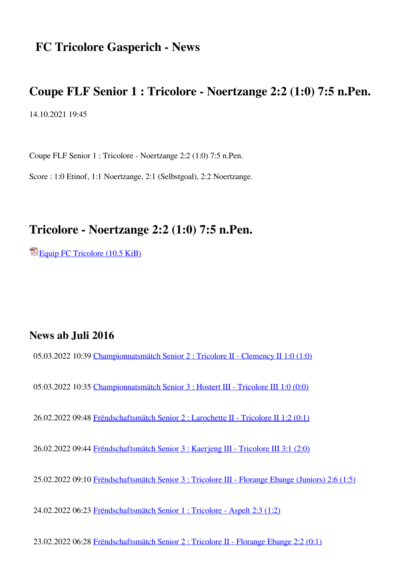# **FC Tricolore Gasperich - News**

## **Coupe FLF Senior 1 : Tricolore - Noertzange 2:2 (1:0) 7:5 n.Pen.**

14.10.2021 19:45

Coupe FLF Senior 1 : Tricolore - Noertzange 2:2 (1:0) 7:5 n.Pen.

Score : 1:0 Etinof, 1:1 Noertzange, 2:1 (Selbstgoal), 2:2 Noertzange.

### **Tricolore - Noertzange 2:2 (1:0) 7:5 n.Pen.**

[Equip FC Tricolore \(10.5 KiB\)](https://www.tricolore.lu/new/index.php/news/coupe-flf-senior-1-tricolore-noertzange-22-11-75-n-pen.html?page_n39=4&file=files/website/default/Documents/Documents%202021-2022/Tricolore%20-%20Noertzange%202-2%207-5%20n.Pen.%2013.10.2021.pdf)

#### **News ab Juli 2016**

05.03.2022 10:39 [Championnatsmätch Senior 2 : Tricolore II - Clemency II 1:0 \(1:0\)](https://www.tricolore.lu/new/index.php/news/championnatsmaetch-senior-2-tricolore-ii-clemency-ii-10-10.html)

05.03.2022 10:35 [Championnatsmätch Senior 3 : Hostert III - Tricolore III 1:0 \(0:0\)](https://www.tricolore.lu/new/index.php/news/championnatsmaetch-senior-3-hostert-iii-tricolore-iii-10-00.html)

26.02.2022 09:48 [Frëndschaftsmätch Senior 2 : Larochette II - Tricolore II 1:2 \(0:1\)](https://www.tricolore.lu/new/index.php/news/frendschaftsmaetch-senior-2-larochette-ii-tricolore-ii-12-01.html)

26.02.2022 09:44 [Frëndschaftsmätch Senior 3 : Kaerjeng III - Tricolore III 3:1 \(2:0\)](https://www.tricolore.lu/new/index.php/news/frendschaftsmaetch-senior-3-kaerjeng-iii-tricolore-iii-31-20.html)

25.02.2022 09:10 [Frëndschaftsmätch Senior 3 : Tricolore III - Florange Ebange \(Juniors\) 2:6 \(1:5\)](https://www.tricolore.lu/new/index.php/news/frendschaftsmaetch-senior-3-tricolore-iii-florange-juniors-26-15.html)

24.02.2022 06:23 [Frëndschaftsmätch Senior 1 : Tricolore - Aspelt 2:3 \(1:2\)](https://www.tricolore.lu/new/index.php/news/frendschaftsmaetch-senior-1-tricolore-aspelt-23-12.html)

23.02.2022 06:28 [Frëndschaftsmätch Senior 2 : Tricolore II - Florange Ebange 2:2 \(0:1\)](https://www.tricolore.lu/new/index.php/news/frendschaftsmaetch-senior-2-tricolore-ii-florange-ebange-22-01.html)